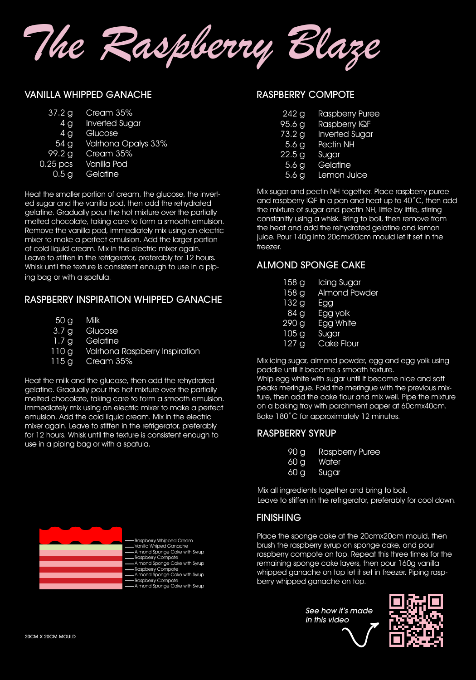

#### VANILLA WHIPPED GANACHE

| 37.2 <sub>q</sub> | Cream 35%                |
|-------------------|--------------------------|
|                   | 4 g Inverted Sugar       |
| 4 g               | Glucose                  |
|                   | 54 g Valrhona Opalys 33% |
| 99.2 g            | Cream 35%                |
| $0.25$ pcs        | Vanilla Pod              |
| 0.5 <sub>g</sub>  | Gelatine                 |

Heat the smaller portion of cream, the glucose, the inverted sugar and the vanilla pod, then add the rehydrated gelatine. Gradually pour the hot mixture over the partially melted chocolate, taking care to form a smooth emulsion. Remove the vanilla pod, immediately mix using an electric mixer to make a perfect emulsion. Add the larger portion of cold liquid cream. Mix in the electric mixer again. Leave to stiffen in the refrigerator, preferably for 12 hours. Whisk until the texture is consistent enough to use in a piping bag or with a spatula.

# RASPBERRY INSPIRATION WHIPPED GANACHE

| 50 <sub>g</sub> | Milk |
|-----------------|------|
|-----------------|------|

- **Glucose** 3.7 g
- **Gelatine** 1.7 g
- Valrhona Raspberry Inspiration 110 g
- Cream 35% 115 g

Heat the milk and the glucose, then add the rehydrated gelatine. Gradually pour the hot mixture over the partially melted chocolate, taking care to form a smooth emulsion. Immediately mix using an electric mixer to make a perfect emulsion. Add the cold liquid cream. Mix in the electric mixer again. Leave to stiffen in the refrigerator, preferably for 12 hours. Whisk until the texture is consistent enough to use in a piping bag or with a spatula.



#### RASPBERRY COMPOTE

| $242$ g             | <b>Raspberry Puree</b> |
|---------------------|------------------------|
| $95.\overline{6}$ g | Raspberry IQF          |
| 73.2 g              | <b>Inverted Sugar</b>  |
| 5.6 g               | Pectin NH              |
| 22.5 g              | Sugar                  |
| 5.6g                | Gelatine               |
| 5.6 <sub>q</sub>    | Lemon Juice            |

Mix sugar and pectin NH together. Place raspberry puree and raspberry IQF in a pan and heat up to 40˚C, then add the mixture of sugar and pectin NH, little by little, stirring constanitly using a whisk. Bring to boil, then remove from the heat and add the rehydrated gelatine and lemon juice. Pour 140g into 20cmx20cm mould let it set in the freezer.

# ALMOND SPONGE CAKE

| Icing Sugar          |
|----------------------|
| <b>Almond Powder</b> |
| Egg                  |
| Egg yolk             |
| <b>Egg White</b>     |
| Sugar                |
| <b>Cake Flour</b>    |
|                      |

Mix icing sugar, almond powder, egg and egg yolk using paddle until it become s smooth texture.

Whip egg white with sugar until it become nice and soft peaks meringue. Fold the meringue with the previous mixture, then add the cake flour and mix well. Pipe the mixture on a baking tray with parchment paper at 60cmx40cm. Bake 180˚C for approximately 12 minutes.

# RASPBERRY SYRUP

- Raspberry Puree 90 g
- **Water** 60 g
- Sugar 60 g

Mix all ingredients together and bring to boil. Leave to stiffen in the refrigerator, preferably for cool down.

#### FINISHING

Place the sponge cake at the 20cmx20cm mould, then brush the raspberry syrup on sponge cake, and pour raspberry compote on top. Repeat this three times for the remaining sponge cake layers, then pour 160g vanilla whipped ganache on top let it set in freezer. Piping raspberry whipped ganache on top.

> *See how it's made in this video*